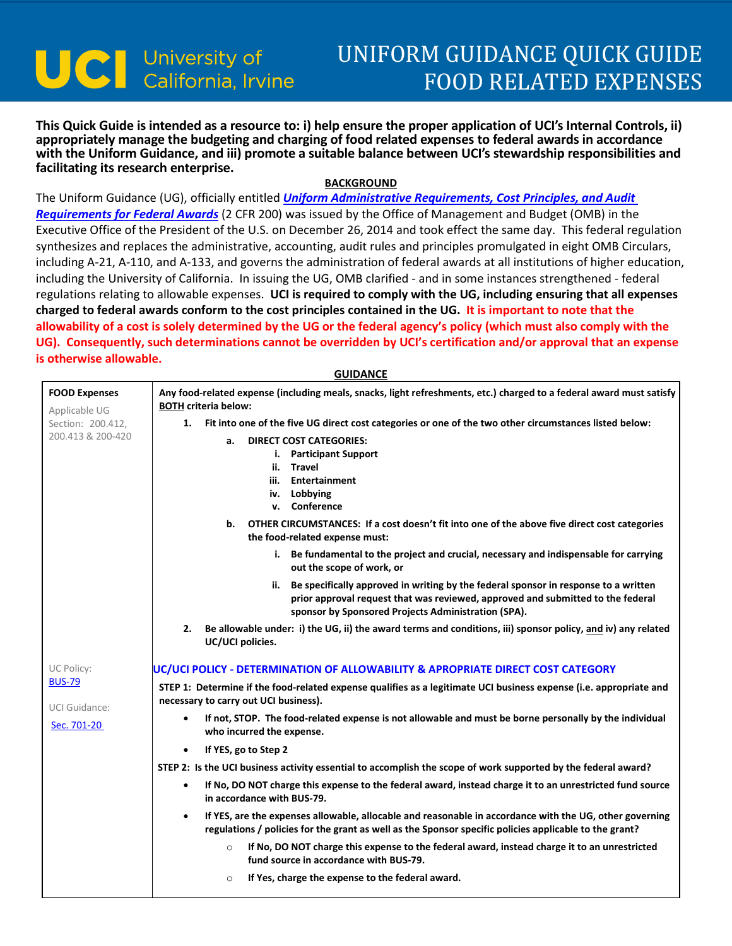## UNIFORM GUIDANCE QUICK GUIDE FOOD RELATED EXPENSES

**This Quick Guide is intended as a resource to: i) help ensure the proper application of UCI's Internal Controls, ii) appropriately manage the budgeting and charging of food related expenses to federal awards in accordance with the Uniform Guidance, and iii) promote a suitable balance between UCI's stewardship responsibilities and facilitating its research enterprise.**

## **BACKGROUND**

The Uniform Guidance (UG), officially entitled *[Uniform Administrative Requirements, Cost Principles, and Audit](https://www.federalregister.gov/articles/2013/12/26/2013-30465/uniform-administrative-requirements-cost-principles-and-audit-requirements-for-federal-awards)  [Requirements for Federal Awards](https://www.federalregister.gov/articles/2013/12/26/2013-30465/uniform-administrative-requirements-cost-principles-and-audit-requirements-for-federal-awards)* (2 CFR 200) was issued by the Office of Management and Budget (OMB) in the Executive Office of the President of the U.S. on December 26, 2014 and took effect the same day. This federal regulation synthesizes and replaces the administrative, accounting, audit rules and principles promulgated in eight OMB Circulars, including A-21, A-110, and A-133, and governs the administration of federal awards at all institutions of higher education, including the University of California. In issuing the UG, OMB clarified - and in some instances strengthened - federal regulations relating to allowable expenses. **UCI is required to comply with the UG, including ensuring that all expenses charged to federal awards conform to the cost principles contained in the UG. It is important to note that the allowability of a cost is solely determined by the UG or the federal agency's policy (which must also comply with the UG). Consequently, such determinations cannot be overridden by UCI's certification and/or approval that an expense is otherwise allowable.** 

|                                       | <b>GUIDANCE</b>                                                                                                                                                                                                                   |
|---------------------------------------|-----------------------------------------------------------------------------------------------------------------------------------------------------------------------------------------------------------------------------------|
| <b>FOOD Expenses</b><br>Applicable UG | Any food-related expense (including meals, snacks, light refreshments, etc.) charged to a federal award must satisfy<br><b>BOTH criteria below:</b>                                                                               |
| Section: 200.412,                     | 1. Fit into one of the five UG direct cost categories or one of the two other circumstances listed below:                                                                                                                         |
| 200.413 & 200-420                     | <b>DIRECT COST CATEGORIES:</b><br>a.<br>i. Participant Support<br>ii. Travel<br>iii. Entertainment<br>iv. Lobbying<br>v. Conference                                                                                               |
|                                       | OTHER CIRCUMSTANCES: If a cost doesn't fit into one of the above five direct cost categories<br>b.<br>the food-related expense must:                                                                                              |
|                                       | i. Be fundamental to the project and crucial, necessary and indispensable for carrying<br>out the scope of work, or                                                                                                               |
|                                       | ii. Be specifically approved in writing by the federal sponsor in response to a written<br>prior approval request that was reviewed, approved and submitted to the federal<br>sponsor by Sponsored Projects Administration (SPA). |
|                                       | Be allowable under: i) the UG, ii) the award terms and conditions, iii) sponsor policy, and iv) any related<br>2.<br>UC/UCI policies.                                                                                             |
| UC Policy:                            | UC/UCI POLICY - DETERMINATION OF ALLOWABILITY & APROPRIATE DIRECT COST CATEGORY                                                                                                                                                   |
| <b>BUS-79</b><br><b>UCI Guidance:</b> | STEP 1: Determine if the food-related expense qualifies as a legitimate UCI business expense (i.e. appropriate and<br>necessary to carry out UCI business).                                                                       |
| Sec. 701-20                           | If not, STOP. The food-related expense is not allowable and must be borne personally by the individual<br>who incurred the expense.                                                                                               |
|                                       | If YES, go to Step 2<br>$\bullet$                                                                                                                                                                                                 |
|                                       | STEP 2: Is the UCI business activity essential to accomplish the scope of work supported by the federal award?                                                                                                                    |
|                                       | If No, DO NOT charge this expense to the federal award, instead charge it to an unrestricted fund source<br>$\bullet$<br>in accordance with BUS-79.                                                                               |
|                                       | If YES, are the expenses allowable, allocable and reasonable in accordance with the UG, other governing<br>$\bullet$<br>regulations / policies for the grant as well as the Sponsor specific policies applicable to the grant?    |
|                                       | If No, DO NOT charge this expense to the federal award, instead charge it to an unrestricted<br>$\circ$<br>fund source in accordance with BUS-79.                                                                                 |
|                                       | If Yes, charge the expense to the federal award.<br>$\circ$                                                                                                                                                                       |